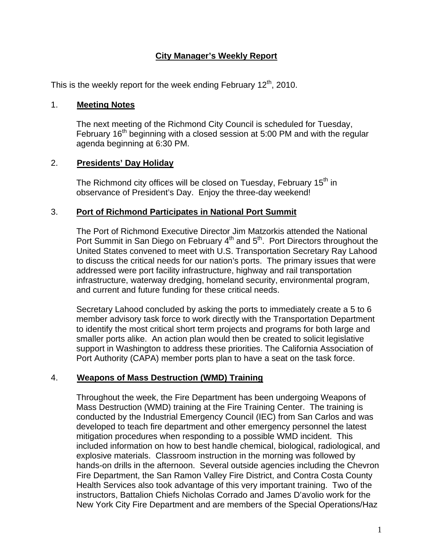## **City Manager's Weekly Report**

This is the weekly report for the week ending February  $12<sup>th</sup>$ , 2010.

#### 1. **Meeting Notes**

The next meeting of the Richmond City Council is scheduled for Tuesday, February 16<sup>th</sup> beginning with a closed session at 5:00 PM and with the regular agenda beginning at 6:30 PM.

### 2. **Presidents' Day Holiday**

The Richmond city offices will be closed on Tuesday, February  $15<sup>th</sup>$  in observance of President's Day. Enjoy the three-day weekend!

### 3. **Port of Richmond Participates in National Port Summit**

The Port of Richmond Executive Director Jim Matzorkis attended the National Port Summit in San Diego on February  $4<sup>th</sup>$  and  $5<sup>th</sup>$ . Port Directors throughout the United States convened to meet with U.S. Transportation Secretary Ray Lahood to discuss the critical needs for our nation's ports. The primary issues that were addressed were port facility infrastructure, highway and rail transportation infrastructure, waterway dredging, homeland security, environmental program, and current and future funding for these critical needs.

Secretary Lahood concluded by asking the ports to immediately create a 5 to 6 member advisory task force to work directly with the Transportation Department to identify the most critical short term projects and programs for both large and smaller ports alike. An action plan would then be created to solicit legislative support in Washington to address these priorities. The California Association of Port Authority (CAPA) member ports plan to have a seat on the task force.

#### 4. **Weapons of Mass Destruction (WMD) Training**

Throughout the week, the Fire Department has been undergoing Weapons of Mass Destruction (WMD) training at the Fire Training Center. The training is conducted by the Industrial Emergency Council (IEC) from San Carlos and was developed to teach fire department and other emergency personnel the latest mitigation procedures when responding to a possible WMD incident. This included information on how to best handle chemical, biological, radiological, and explosive materials. Classroom instruction in the morning was followed by hands-on drills in the afternoon. Several outside agencies including the Chevron Fire Department, the San Ramon Valley Fire District, and Contra Costa County Health Services also took advantage of this very important training. Two of the instructors, Battalion Chiefs Nicholas Corrado and James D'avolio work for the New York City Fire Department and are members of the Special Operations/Haz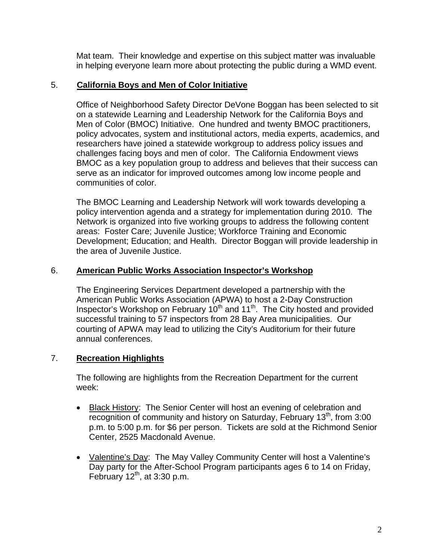Mat team. Their knowledge and expertise on this subject matter was invaluable in helping everyone learn more about protecting the public during a WMD event.

# 5. **California Boys and Men of Color Initiative**

Office of Neighborhood Safety Director DeVone Boggan has been selected to sit on a statewide Learning and Leadership Network for the California Boys and Men of Color (BMOC) Initiative. One hundred and twenty BMOC practitioners, policy advocates, system and institutional actors, media experts, academics, and researchers have joined a statewide workgroup to address policy issues and challenges facing boys and men of color. The California Endowment views BMOC as a key population group to address and believes that their success can serve as an indicator for improved outcomes among low income people and communities of color.

The BMOC Learning and Leadership Network will work towards developing a policy intervention agenda and a strategy for implementation during 2010. The Network is organized into five working groups to address the following content areas: Foster Care; Juvenile Justice; Workforce Training and Economic Development; Education; and Health. Director Boggan will provide leadership in the area of Juvenile Justice.

# 6. **American Public Works Association Inspector's Workshop**

The Engineering Services Department developed a partnership with the American Public Works Association (APWA) to host a 2-Day Construction Inspector's Workshop on February  $10^{th}$  and  $11^{th}$ . The City hosted and provided successful training to 57 inspectors from 28 Bay Area municipalities. Our courting of APWA may lead to utilizing the City's Auditorium for their future annual conferences.

# 7. **Recreation Highlights**

The following are highlights from the Recreation Department for the current week:

- Black History: The Senior Center will host an evening of celebration and recognition of community and history on Saturday, February  $13<sup>th</sup>$ , from 3:00 p.m. to 5:00 p.m. for \$6 per person. Tickets are sold at the Richmond Senior Center, 2525 Macdonald Avenue.
- Valentine's Day: The May Valley Community Center will host a Valentine's Day party for the After-School Program participants ages 6 to 14 on Friday, February  $12^{th}$ , at 3:30 p.m.